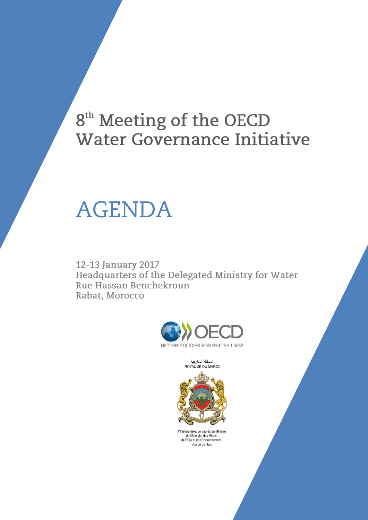## 8<sup>th</sup> Meeting of the OECD **Water Governance Initiative**

# **AGENDA**

12-13 January 2017 Headquarters of the Delegated Ministry for Water Rue Hassan Benchekroun Rabat, Morocco



المملكة المغربية<br>ROYAUME DU MAROC



Ministère délégué auprès du Ministre<br>de l'Energie, des Mines,<br>de l'Eau et de l'Environnement,<br>chargé de l'Eau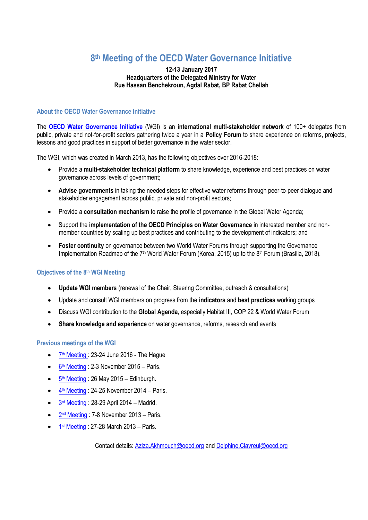### **8 th Meeting of the OECD Water Governance Initiative**

#### **12-13 January 2017 Headquarters of the Delegated Ministry for Water Rue Hassan Benchekroun, Agdal Rabat, BP Rabat Chellah**

#### **About the OECD Water Governance Initiative**

The **[OECD Water Governance Initiative](http://www.oecd.org/gov/regional-policy/OECD-WGI-Brochure.pdf)** (WGI) is an **international multi-stakeholder network** of 100+ delegates from public, private and not-for-profit sectors gathering twice a year in a **Policy Forum** to share experience on reforms, projects, lessons and good practices in support of better governance in the water sector.

The WGI, which was created in March 2013, has the following objectives over 2016-2018:

- Provide a **multi-stakeholder technical platform** to share knowledge, experience and best practices on water governance across levels of government;
- **Advise governments** in taking the needed steps for effective water reforms through peer-to-peer dialogue and stakeholder engagement across public, private and non-profit sectors;
- Provide a **consultation mechanism** to raise the profile of governance in the Global Water Agenda;
- Support the **implementation of the OECD Principles on Water Governance** in interested member and nonmember countries by scaling up best practices and contributing to the development of indicators; and
- **Foster continuity** on governance between two World Water Forums through supporting the Governance Implementation Roadmap of the 7<sup>th</sup> World Water Forum (Korea, 2015) up to the 8<sup>th</sup> Forum (Brasilia, 2018).

#### **Objectives of the 8 th WGI Meeting**

- **Update WGI members** (renewal of the Chair, Steering Committee, outreach & consultations)
- Update and consult WGI members on progress from the **indicators** and **best practices** working groups
- Discuss WGI contribution to the **Global Agenda**, especially Habitat III, COP 22 & World Water Forum
- **Share knowledge and experience** on water governance, reforms, research and events

#### **Previous meetings of the WGI**

- 7<sup>th</sup> [Meeting](http://www.oecd.org/gov/regional-policy/water-governance-initiative-meeting-7.htm): 23-24 June 2016 The Hague
- 6<sup>th</sup> [Meeting](http://www.oecd.org/gov/regional-policy/water-governance-initiative-meeting-6.htm) : 2-3 November 2015 Paris.
- 5<sup>th</sup> [Meeting](http://www.oecd.org/gov/regional-policy/water-governance-initiative-meeting-5.htm): 26 May 2015 Edinburgh.
- $\frac{4^{\text{th}} \text{ Meeting}}{24-25}$  $\frac{4^{\text{th}} \text{ Meeting}}{24-25}$  $\frac{4^{\text{th}} \text{ Meeting}}{24-25}$  November 2014 Paris.
- $\bullet$  3<sup>rd</sup> [Meeting](http://www.oecd.org/governance/regional-policy/water-governance-initiative-meeting-3.htm): 28-29 April 2014 Madrid.
- 2<sup>nd</sup> [Meeting](http://www.oecd.org/governance/regional-policy/water-governance-initiative-meeting-2.htm): 7-8 November 2013 Paris.
- $\bullet$  1<sup>st</sup> [Meeting](http://www.oecd.org/gov/regional-policy/water-governance-initiative-meeting-1.htm) : 27-28 March 2013 Paris.

Contact details[: Aziza.Akhmouch@oecd.org](mailto:Aziza.Akhmouch@oecd.org) and [Delphine.Clavreul@oecd.org](mailto:Delphine.Clavreul@oecd.org)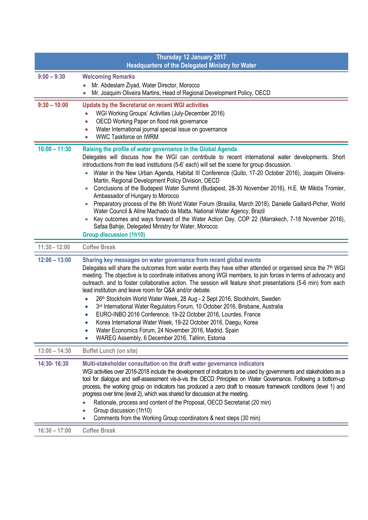| Thursday 12 January 2017<br><b>Headquarters of the Delegated Ministry for Water</b> |                                                                                                                                                                                                                                                                                                                                                                                                                                                                                                                                                                                                                                                                                                                                                                                                                                                                                                                                                                                       |  |
|-------------------------------------------------------------------------------------|---------------------------------------------------------------------------------------------------------------------------------------------------------------------------------------------------------------------------------------------------------------------------------------------------------------------------------------------------------------------------------------------------------------------------------------------------------------------------------------------------------------------------------------------------------------------------------------------------------------------------------------------------------------------------------------------------------------------------------------------------------------------------------------------------------------------------------------------------------------------------------------------------------------------------------------------------------------------------------------|--|
| $9:00 - 9:30$                                                                       | <b>Welcoming Remarks</b><br>Mr. Abdeslam Ziyad, Water Director, Morocco<br>Mr. Joaquim Oliveira Martins, Head of Regional Development Policy, OECD                                                                                                                                                                                                                                                                                                                                                                                                                                                                                                                                                                                                                                                                                                                                                                                                                                    |  |
| $9:30 - 10:00$                                                                      | Update by the Secretariat on recent WGI activities<br>WGI Working Groups' Activities (July-December 2016)<br>$\bullet$<br>OECD Working Paper on flood risk governance<br>$\bullet$<br>Water International journal special issue on governance<br>0<br><b>WWC Taskforce on IWRM</b>                                                                                                                                                                                                                                                                                                                                                                                                                                                                                                                                                                                                                                                                                                    |  |
| $10:00 - 11:30$                                                                     | Raising the profile of water governance in the Global Agenda<br>Delegates will discuss how the WGI can contribute to recent international water developments. Short<br>introductions from the lead institutions (5-6' each) will set the scene for group discussion.<br>Water in the New Urban Agenda, Habitat III Conference (Quito, 17-20 October 2016), Joaquim Oliveira-<br>Martin, Regional Development Policy Division, OECD<br>Conclusions of the Budapest Water Summit (Budapest, 28-30 November 2016), H.E. Mr Miklós Tromler,<br>$\bullet$<br>Ambassador of Hungary to Morocco<br>Preparatory process of the 8th World Water Forum (Brasilia, March 2018), Danielle Gaillard-Picher, World<br>$\bullet$<br>Water Council & Aline Machado da Matta, National Water Agency, Brazil<br>Key outcomes and ways forward of the Water Action Day, COP 22 (Marrakech, 7-18 November 2016),<br>Safaa Bahije, Delegated Ministry for Water, Morocco<br><b>Group discussion (1h10)</b> |  |
| $11:30 - 12:00$                                                                     | <b>Coffee Break</b>                                                                                                                                                                                                                                                                                                                                                                                                                                                                                                                                                                                                                                                                                                                                                                                                                                                                                                                                                                   |  |
| $12:00 - 13:00$                                                                     | Sharing key messages on water governance from recent global events<br>Delegates will share the outcomes from water events they have either attended or organised since the $7th$ WGI<br>meeting. The objective is to coordinate initiatives among WGI members, to join forces in terms of advocacy and<br>outreach, and to foster collaborative action. The session will feature short presentations (5-6 min) from each<br>lead institution and leave room for Q&A and/or debate.<br>26th Stockholm World Water Week, 28 Aug - 2 Sept 2016, Stockholm, Sweden<br>$\bullet$<br>3rd International Water Regulators Forum, 10 October 2016, Brisbane, Australia<br>$\bullet$<br>EURO-INBO 2016 Conference, 19-22 October 2016, Lourdes, France<br>Korea International Water Week, 19-22 October 2016, Daegu, Korea<br>Water Economics Forum, 24 November 2016, Madrid, Spain<br>WAREG Assembly, 6 December 2016, Tallinn, Estonia                                                       |  |
| $13:00 - 14:30$                                                                     | <b>Buffet Lunch (on site)</b>                                                                                                                                                                                                                                                                                                                                                                                                                                                                                                                                                                                                                                                                                                                                                                                                                                                                                                                                                         |  |
| 14:30-16:30                                                                         | Multi-stakeholder consultation on the draft water governance indicators<br>WGI activities over 2016-2018 include the development of indicators to be used by governments and stakeholders as a<br>tool for dialogue and self-assessment vis-à-vis the OECD Principles on Water Governance. Following a bottom-up<br>process, the working group on indicators has produced a zero draft to measure framework conditions (level 1) and<br>progress over time (level 2), which was shared for discussion at the meeting.<br>Rationale, process and content of the Proposal, OECD Secretariat (20 min)<br>Group discussion (1h10)<br>$\bullet$<br>Comments from the Working Group coordinators & next steps (30 min)                                                                                                                                                                                                                                                                      |  |
| $16:30 - 17:00$                                                                     | <b>Coffee Break</b>                                                                                                                                                                                                                                                                                                                                                                                                                                                                                                                                                                                                                                                                                                                                                                                                                                                                                                                                                                   |  |